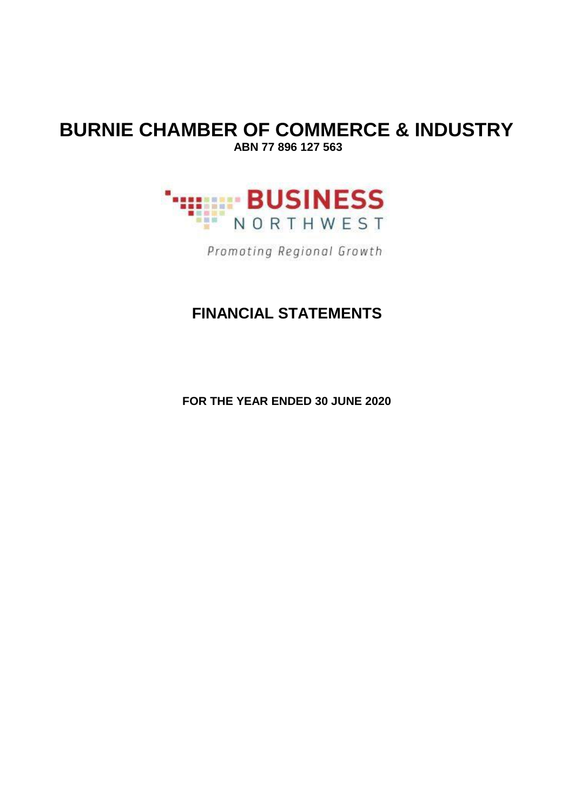### **BURNIE CHAMBER OF COMMERCE & INDUSTRY ABN 77 896 127 563**



Promoting Regional Growth

## **FINANCIAL STATEMENTS**

**FOR THE YEAR ENDED 30 JUNE 2020**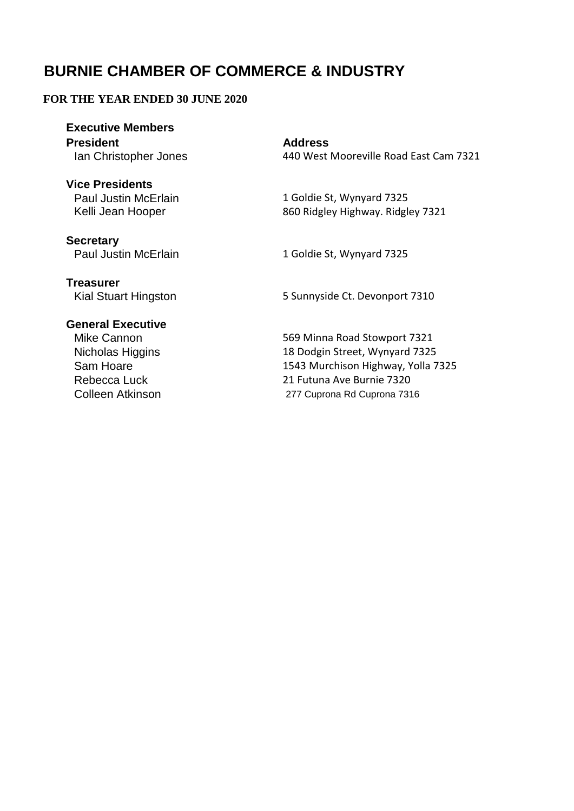#### **FOR THE YEAR ENDED 30 JUNE 2020**

**Executive Members President**

**Vice Presidents** Paul Justin McErlain Kelli Jean Hooper

**Secretary** Paul Justin McErlain **Address**

Ian Christopher Jones 440 West Mooreville Road East Cam 7321

1 Goldie St, Wynyard 7325 860 Ridgley Highway. Ridgley 7321

1 Goldie St, Wynyard 7325

**Treasurer** Kial Stuart Hingston 5 Sunnyside Ct. Devonport 7310

#### **General Executive**

Nicholas Higgins Rebecca Luck

Mike Cannon 600 Minna Road Stowport 7321 18 Dodgin Street, Wynyard 7325

Sam Hoare 1543 Murchison Highway, Yolla 7325 Colleen Atkinson 277 Cuprona Rd Cuprona 7316 21 Futuna Ave Burnie 7320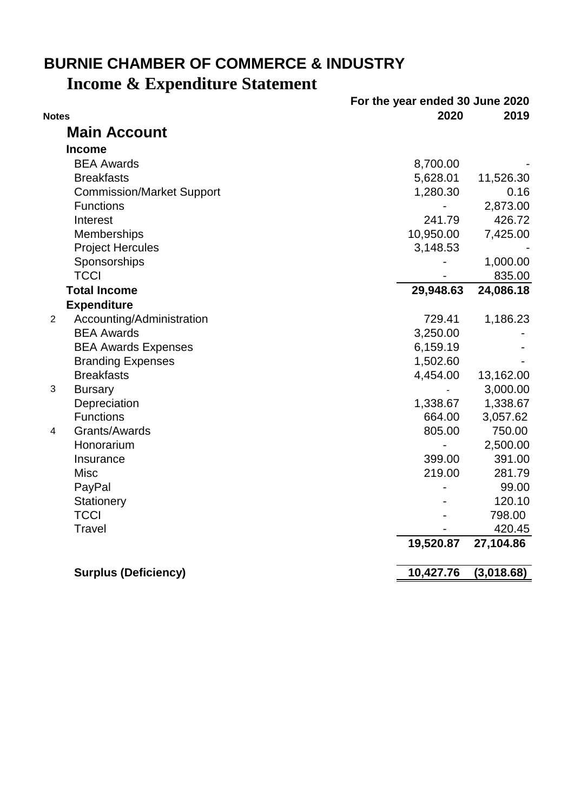## **Income & Expenditure Statement BURNIE CHAMBER OF COMMERCE & INDUSTRY**

|                |                                  | For the year ended 30 June 2020 |            |
|----------------|----------------------------------|---------------------------------|------------|
| <b>Notes</b>   |                                  | 2020                            | 2019       |
|                | <b>Main Account</b>              |                                 |            |
|                | <b>Income</b>                    |                                 |            |
|                | <b>BEA Awards</b>                | 8,700.00                        |            |
|                | <b>Breakfasts</b>                | 5,628.01                        | 11,526.30  |
|                | <b>Commission/Market Support</b> | 1,280.30                        | 0.16       |
|                | <b>Functions</b>                 |                                 | 2,873.00   |
|                | Interest                         | 241.79                          | 426.72     |
|                | Memberships                      | 10,950.00                       | 7,425.00   |
|                | <b>Project Hercules</b>          | 3,148.53                        |            |
|                | Sponsorships                     |                                 | 1,000.00   |
|                | <b>TCCI</b>                      |                                 | 835.00     |
|                | <b>Total Income</b>              | 29,948.63                       | 24,086.18  |
|                | <b>Expenditure</b>               |                                 |            |
| $\overline{2}$ | Accounting/Administration        | 729.41                          | 1,186.23   |
|                | <b>BEA Awards</b>                | 3,250.00                        |            |
|                | <b>BEA Awards Expenses</b>       | 6,159.19                        |            |
|                | <b>Branding Expenses</b>         | 1,502.60                        |            |
|                | <b>Breakfasts</b>                | 4,454.00                        | 13,162.00  |
| $\mathfrak{B}$ | <b>Bursary</b>                   |                                 | 3,000.00   |
|                | Depreciation                     | 1,338.67                        | 1,338.67   |
|                | <b>Functions</b>                 | 664.00                          | 3,057.62   |
| 4              | Grants/Awards                    | 805.00                          | 750.00     |
|                | Honorarium                       |                                 | 2,500.00   |
|                | Insurance                        | 399.00                          | 391.00     |
|                | <b>Misc</b>                      | 219.00                          | 281.79     |
|                | PayPal                           |                                 | 99.00      |
|                | Stationery                       |                                 | 120.10     |
|                | <b>TCCI</b>                      |                                 | 798.00     |
|                | <b>Travel</b>                    |                                 | 420.45     |
|                |                                  | 19,520.87                       | 27,104.86  |
|                | <b>Surplus (Deficiency)</b>      | 10,427.76                       | (3,018.68) |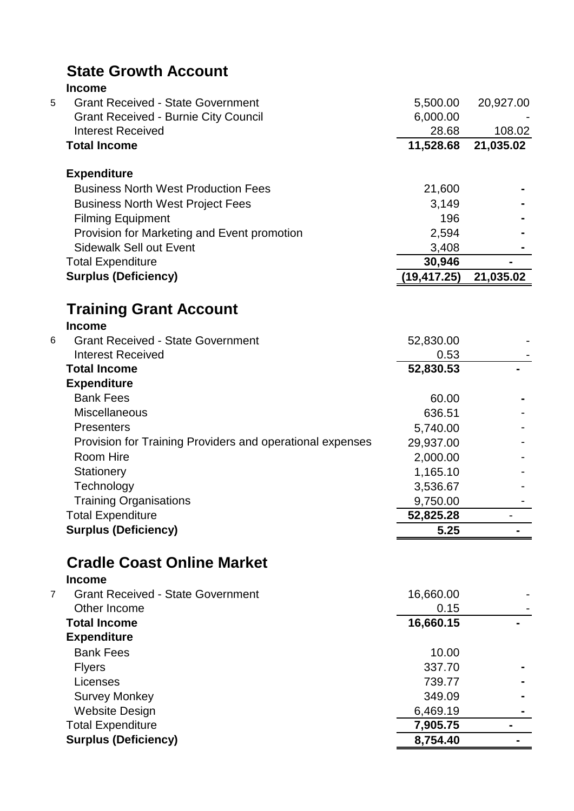|   | <b>State Growth Account</b>                               |              |           |
|---|-----------------------------------------------------------|--------------|-----------|
|   | <b>Income</b>                                             |              |           |
| 5 | <b>Grant Received - State Government</b>                  | 5,500.00     | 20,927.00 |
|   | <b>Grant Received - Burnie City Council</b>               | 6,000.00     |           |
|   | <b>Interest Received</b>                                  | 28.68        | 108.02    |
|   | <b>Total Income</b>                                       | 11,528.68    | 21,035.02 |
|   | <b>Expenditure</b>                                        |              |           |
|   | <b>Business North West Production Fees</b>                | 21,600       |           |
|   | <b>Business North West Project Fees</b>                   | 3,149        |           |
|   | <b>Filming Equipment</b>                                  | 196          |           |
|   | Provision for Marketing and Event promotion               | 2,594        |           |
|   | <b>Sidewalk Sell out Event</b>                            | 3,408        |           |
|   | <b>Total Expenditure</b>                                  | 30,946       |           |
|   | <b>Surplus (Deficiency)</b>                               | (19, 417.25) | 21,035.02 |
|   | <b>Training Grant Account</b><br><b>Income</b>            |              |           |
| 6 | <b>Grant Received - State Government</b>                  | 52,830.00    |           |
|   | <b>Interest Received</b>                                  | 0.53         |           |
|   | <b>Total Income</b>                                       | 52,830.53    |           |
|   | <b>Expenditure</b>                                        |              |           |
|   | <b>Bank Fees</b>                                          | 60.00        |           |
|   | Miscellaneous                                             | 636.51       |           |
|   | <b>Presenters</b>                                         | 5,740.00     |           |
|   | Provision for Training Providers and operational expenses | 29,937.00    |           |
|   | Room Hire                                                 | 2,000.00     |           |
|   | Stationery                                                | 1,165.10     |           |
|   | Technology                                                | 3,536.67     |           |
|   | <b>Training Organisations</b>                             | 9,750.00     |           |
|   | <b>Total Expenditure</b>                                  | 52,825.28    |           |
|   | <b>Surplus (Deficiency)</b>                               | 5.25         |           |
|   | <b>Cradle Coast Online Market</b>                         |              |           |
| 7 | <b>Income</b><br><b>Grant Received - State Government</b> | 16,660.00    |           |
|   | Other Income                                              | 0.15         |           |
|   |                                                           |              |           |

| Other Income                | 0.15      |  |
|-----------------------------|-----------|--|
| <b>Total Income</b>         | 16,660.15 |  |
| <b>Expenditure</b>          |           |  |
| <b>Bank Fees</b>            | 10.00     |  |
| <b>Flyers</b>               | 337.70    |  |
| Licenses                    | 739.77    |  |
| <b>Survey Monkey</b>        | 349.09    |  |
| <b>Website Design</b>       | 6,469.19  |  |
| <b>Total Expenditure</b>    | 7,905.75  |  |
| <b>Surplus (Deficiency)</b> | 8,754.40  |  |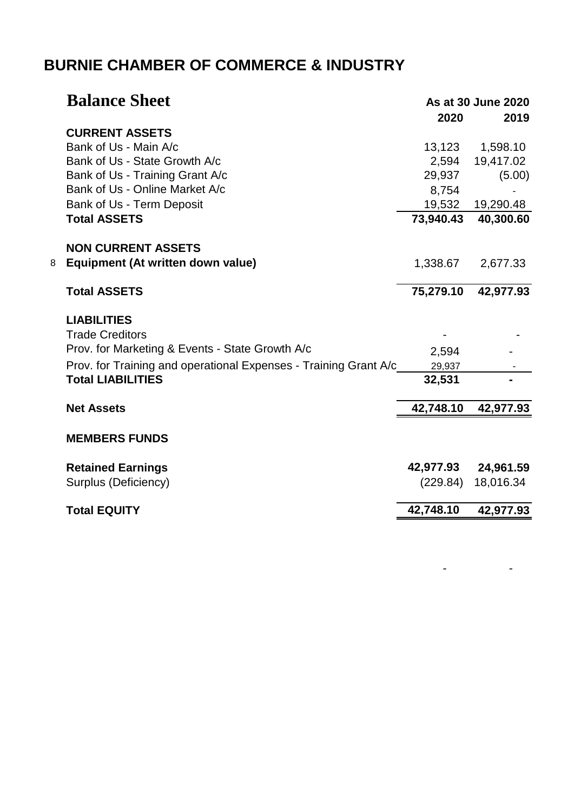|   | <b>Balance Sheet</b>                                             | 2020      | As at 30 June 2020<br>2019 |
|---|------------------------------------------------------------------|-----------|----------------------------|
|   | <b>CURRENT ASSETS</b>                                            |           |                            |
|   | Bank of Us - Main A/c                                            | 13,123    | 1,598.10                   |
|   | Bank of Us - State Growth A/c                                    | 2,594     | 19,417.02                  |
|   | Bank of Us - Training Grant A/c                                  | 29,937    | (5.00)                     |
|   | Bank of Us - Online Market A/c                                   | 8,754     |                            |
|   | Bank of Us - Term Deposit                                        | 19,532    | 19,290.48                  |
|   | <b>Total ASSETS</b>                                              | 73,940.43 | 40,300.60                  |
|   | <b>NON CURRENT ASSETS</b>                                        |           |                            |
| 8 | Equipment (At written down value)                                | 1,338.67  | 2,677.33                   |
|   | <b>Total ASSETS</b>                                              | 75,279.10 | 42,977.93                  |
|   | <b>LIABILITIES</b>                                               |           |                            |
|   | <b>Trade Creditors</b>                                           |           |                            |
|   | Prov. for Marketing & Events - State Growth A/c                  | 2,594     |                            |
|   | Prov. for Training and operational Expenses - Training Grant A/c | 29,937    |                            |
|   | <b>Total LIABILITIES</b>                                         | 32,531    |                            |
|   | <b>Net Assets</b>                                                | 42,748.10 | 42,977.93                  |
|   | <b>MEMBERS FUNDS</b>                                             |           |                            |
|   |                                                                  |           |                            |
|   | <b>Retained Earnings</b>                                         | 42,977.93 | 24,961.59                  |
|   | Surplus (Deficiency)                                             | (229.84)  | 18,016.34                  |
|   | <b>Total EQUITY</b>                                              | 42,748.10 | 42,977.93                  |
|   |                                                                  |           |                            |

- - - - - - - - - -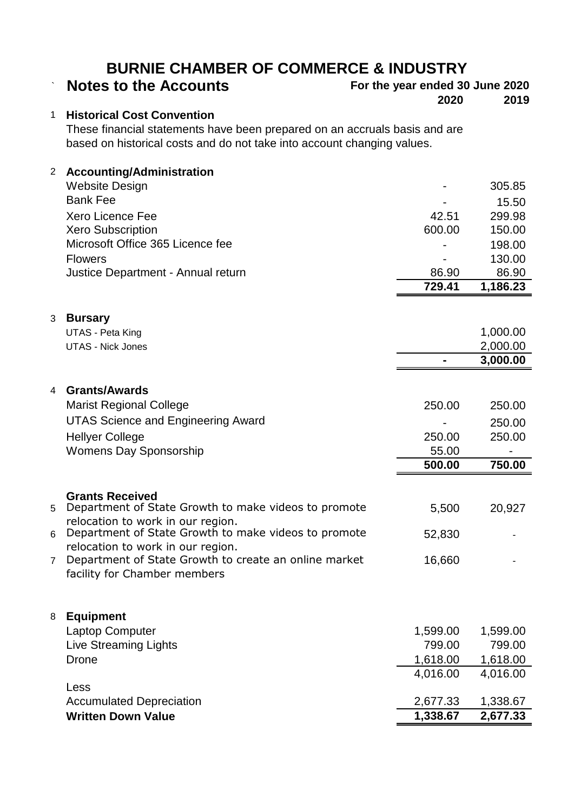| <b>Notes to the Accounts</b> |  |
|------------------------------|--|
|------------------------------|--|

# ` **Notes to the Accounts For the year ended 30 June 2020**

**2020 2019**

#### 1 **Historical Cost Convention**

These financial statements have been prepared on an accruals basis and are based on historical costs and do not take into account changing values.

| $\overline{2}$ | <b>Accounting/Administration</b>                                               |          |          |
|----------------|--------------------------------------------------------------------------------|----------|----------|
|                | <b>Website Design</b>                                                          |          | 305.85   |
|                | <b>Bank Fee</b>                                                                |          | 15.50    |
|                | <b>Xero Licence Fee</b>                                                        | 42.51    | 299.98   |
|                | <b>Xero Subscription</b>                                                       | 600.00   | 150.00   |
|                | Microsoft Office 365 Licence fee                                               |          | 198.00   |
|                | <b>Flowers</b>                                                                 |          | 130.00   |
|                | Justice Department - Annual return                                             | 86.90    | 86.90    |
|                |                                                                                | 729.41   | 1,186.23 |
|                |                                                                                |          |          |
| 3              | <b>Bursary</b>                                                                 |          |          |
|                | <b>UTAS - Peta King</b>                                                        |          | 1,000.00 |
|                | <b>UTAS - Nick Jones</b>                                                       |          | 2,000.00 |
|                |                                                                                |          | 3,000.00 |
|                |                                                                                |          |          |
| 4              | <b>Grants/Awards</b>                                                           |          |          |
|                | <b>Marist Regional College</b>                                                 | 250.00   | 250.00   |
|                | <b>UTAS Science and Engineering Award</b>                                      |          | 250.00   |
|                | <b>Hellyer College</b>                                                         | 250.00   | 250.00   |
|                | <b>Womens Day Sponsorship</b>                                                  | 55.00    |          |
|                |                                                                                | 500.00   | 750.00   |
|                |                                                                                |          |          |
| 5              | <b>Grants Received</b><br>Department of State Growth to make videos to promote | 5,500    | 20,927   |
|                | relocation to work in our region.                                              |          |          |
| 6              | Department of State Growth to make videos to promote                           | 52,830   |          |
|                | relocation to work in our region.                                              |          |          |
| 7              | Department of State Growth to create an online market                          | 16,660   |          |
|                | facility for Chamber members                                                   |          |          |
|                |                                                                                |          |          |
| 8              | <b>Equipment</b>                                                               |          |          |
|                | Laptop Computer                                                                | 1,599.00 | 1,599.00 |
|                | <b>Live Streaming Lights</b>                                                   | 799.00   | 799.00   |
|                | <b>Drone</b>                                                                   | 1,618.00 | 1,618.00 |
|                |                                                                                | 4,016.00 | 4,016.00 |
|                | Less                                                                           |          |          |
|                | <b>Accumulated Depreciation</b>                                                | 2,677.33 | 1,338.67 |
|                | <b>Written Down Value</b>                                                      | 1,338.67 | 2,677.33 |